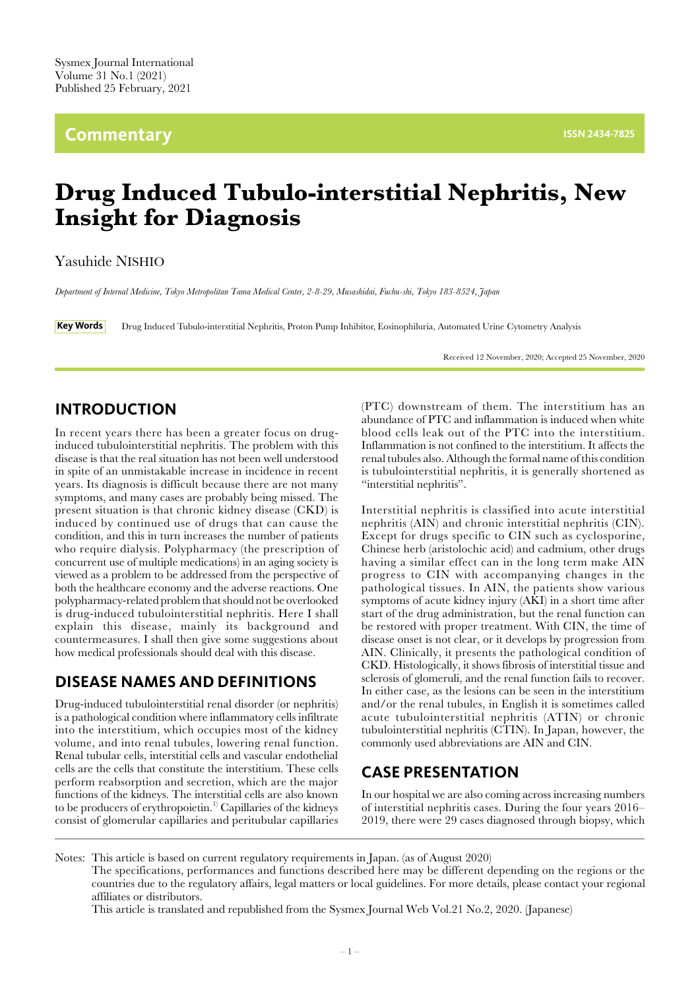# **Commentary ISSN 2434-7825**

# **Drug Induced Tubulo-interstitial Nephritis, New Insight for Diagnosis**

#### Yasuhide NISHIO

*Department of Internal Medicine, Tokyo Metropolitan Tama Medical Center, 2-8-29, Musashidai, Fuchu-shi, Tokyo 183-8524, Japan*

**Key Words** Drug Induced Tubulo-interstitial Nephritis, Proton Pump Inhibitor, Eosinophiluria, Automated Urine Cytometry Analysis

Received 12 November, 2020; Accepted 25 November, 2020

# **INTRODUCTION**

In recent years there has been a greater focus on druginduced tubulointerstitial nephritis. The problem with this disease is that the real situation has not been well understood in spite of an unmistakable increase in incidence in recent years. Its diagnosis is difficult because there are not many symptoms, and many cases are probably being missed. The present situation is that chronic kidney disease (CKD) is induced by continued use of drugs that can cause the condition, and this in turn increases the number of patients who require dialysis. Polypharmacy (the prescription of concurrent use of multiple medications) in an aging society is viewed as a problem to be addressed from the perspective of both the healthcare economy and the adverse reactions. One polypharmacy-related problem that should not be overlooked is drug-induced tubulointerstitial nephritis. Here I shall explain this disease, mainly its background and countermeasures. I shall then give some suggestions about how medical professionals should deal with this disease.

# **DISEASE NAMES AND DEFINITIONS**

Drug-induced tubulointerstitial renal disorder (or nephritis) is a pathological condition where inflammatory cells infiltrate into the interstitium, which occupies most of the kidney volume, and into renal tubules, lowering renal function. Renal tubular cells, interstitial cells and vascular endothelial cells are the cells that constitute the interstitium. These cells perform reabsorption and secretion, which are the major functions of the kidneys. The interstitial cells are also known to be producers of erythropoietin.<sup>1)</sup> Capillaries of the kidneys consist of glomerular capillaries and peritubular capillaries (PTC) downstream of them. The interstitium has an abundance of PTC and inflammation is induced when white blood cells leak out of the PTC into the interstitium. Inflammation is not confined to the interstitium. It affects the renal tubules also. Although the formal name of this condition is tubulointerstitial nephritis, it is generally shortened as "interstitial nephritis".

Interstitial nephritis is classified into acute interstitial nephritis (AIN) and chronic interstitial nephritis (CIN). Except for drugs specific to CIN such as cyclosporine, Chinese herb (aristolochic acid) and cadmium, other drugs having a similar effect can in the long term make AIN progress to CIN with accompanying changes in the pathological tissues. In AIN, the patients show various symptoms of acute kidney injury (AKI) in a short time after start of the drug administration, but the renal function can be restored with proper treatment. With CIN, the time of disease onset is not clear, or it develops by progression from AIN. Clinically, it presents the pathological condition of CKD. Histologically, it shows fibrosis of interstitial tissue and sclerosis of glomeruli, and the renal function fails to recover. In either case, as the lesions can be seen in the interstitium and/or the renal tubules, in English it is sometimes called acute tubulointerstitial nephritis (ATIN) or chronic tubulointerstitial nephritis (CTIN). In Japan, however, the commonly used abbreviations are AIN and CIN.

# **CASE PRESENTATION**

In our hospital we are also coming across increasing numbers of interstitial nephritis cases. During the four years 2016– 2019, there were 29 cases diagnosed through biopsy, which

Notes: This article is based on current regulatory requirements in Japan. (as of August 2020)

 The specifications, performances and functions described here may be different depending on the regions or the countries due to the regulatory affairs, legal matters or local guidelines. For more details, please contact your regional affiliates or distributors.

This article is translated and republished from the Sysmex Journal Web Vol.21 No.2, 2020. (Japanese)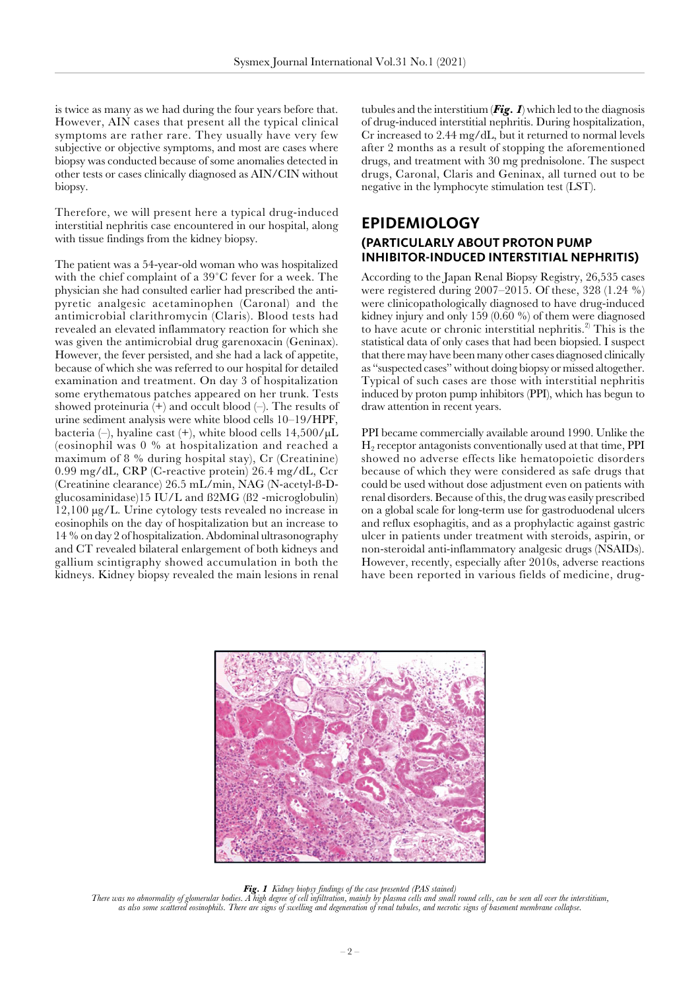is twice as many as we had during the four years before that. However, AIN cases that present all the typical clinical symptoms are rather rare. They usually have very few subjective or objective symptoms, and most are cases where biopsy was conducted because of some anomalies detected in other tests or cases clinically diagnosed as AIN/CIN without biopsy.

Therefore, we will present here a typical drug-induced interstitial nephritis case encountered in our hospital, along with tissue findings from the kidney biopsy.

The patient was a 54-year-old woman who was hospitalized with the chief complaint of a 39˚C fever for a week. The physician she had consulted earlier had prescribed the antipyretic analgesic acetaminophen (Caronal) and the antimicrobial clarithromycin (Claris). Blood tests had revealed an elevated inflammatory reaction for which she was given the antimicrobial drug garenoxacin (Geninax). However, the fever persisted, and she had a lack of appetite, because of which she was referred to our hospital for detailed examination and treatment. On day 3 of hospitalization some erythematous patches appeared on her trunk. Tests showed proteinuria  $(+)$  and occult blood  $(-)$ . The results of urine sediment analysis were white blood cells 10–19/HPF, bacteria (–), hyaline cast (+), white blood cells 14,500/µL (eosinophil was 0 % at hospitalization and reached a maximum of 8 % during hospital stay), Cr (Creatinine) 0.99 mg/dL, CRP (C-reactive protein) 26.4 mg/dL, Ccr (Creatinine clearance) 26.5 mL/min, NAG (N-acetyl-ß-Dglucosaminidase)15 IU/L and ß2MG (ß2 -microglobulin) 12,100 µg/L. Urine cytology tests revealed no increase in eosinophils on the day of hospitalization but an increase to 14 % on day 2 of hospitalization. Abdominal ultrasonography and CT revealed bilateral enlargement of both kidneys and gallium scintigraphy showed accumulation in both the kidneys. Kidney biopsy revealed the main lesions in renal

tubules and the interstitium (*Fig. 1*) which led to the diagnosis of drug-induced interstitial nephritis. During hospitalization, Cr increased to 2.44 mg/dL, but it returned to normal levels after 2 months as a result of stopping the aforementioned drugs, and treatment with 30 mg prednisolone. The suspect drugs, Caronal, Claris and Geninax, all turned out to be negative in the lymphocyte stimulation test (LST).

#### **EPIDEMIOLOGY (PARTICULARLY ABOUT PROTON PUMP INHIBITOR-INDUCED INTERSTITIAL NEPHRITIS)**

According to the Japan Renal Biopsy Registry, 26,535 cases were registered during 2007–2015. Of these, 328 (1.24 %) were clinicopathologically diagnosed to have drug-induced kidney injury and only 159 (0.60 %) of them were diagnosed to have acute or chronic interstitial nephritis.<sup>2)</sup> This is the statistical data of only cases that had been biopsied. I suspect that there may have been many other cases diagnosed clinically as "suspected cases" without doing biopsy or missed altogether. Typical of such cases are those with interstitial nephritis induced by proton pump inhibitors (PPI), which has begun to draw attention in recent years.

PPI became commercially available around 1990. Unlike the H2 receptor antagonists conventionally used at that time, PPI showed no adverse effects like hematopoietic disorders because of which they were considered as safe drugs that could be used without dose adjustment even on patients with renal disorders. Because of this, the drug was easily prescribed on a global scale for long-term use for gastroduodenal ulcers and reflux esophagitis, and as a prophylactic against gastric ulcer in patients under treatment with steroids, aspirin, or non-steroidal anti-inflammatory analgesic drugs (NSAIDs). However, recently, especially after 2010s, adverse reactions have been reported in various fields of medicine, drug-



Fig. 1 Kidney biopsy findings of the case presented (PAS stained)<br>There was no abnormality of glomerular bodies. A high degree of cell infiltration, mainly by plasma cells and small round cells, can be seen all over the in *as also some scattered eosinophils. There are signs of swelling and degeneration of renal tubules, and necrotic signs of basement membrane collapse.*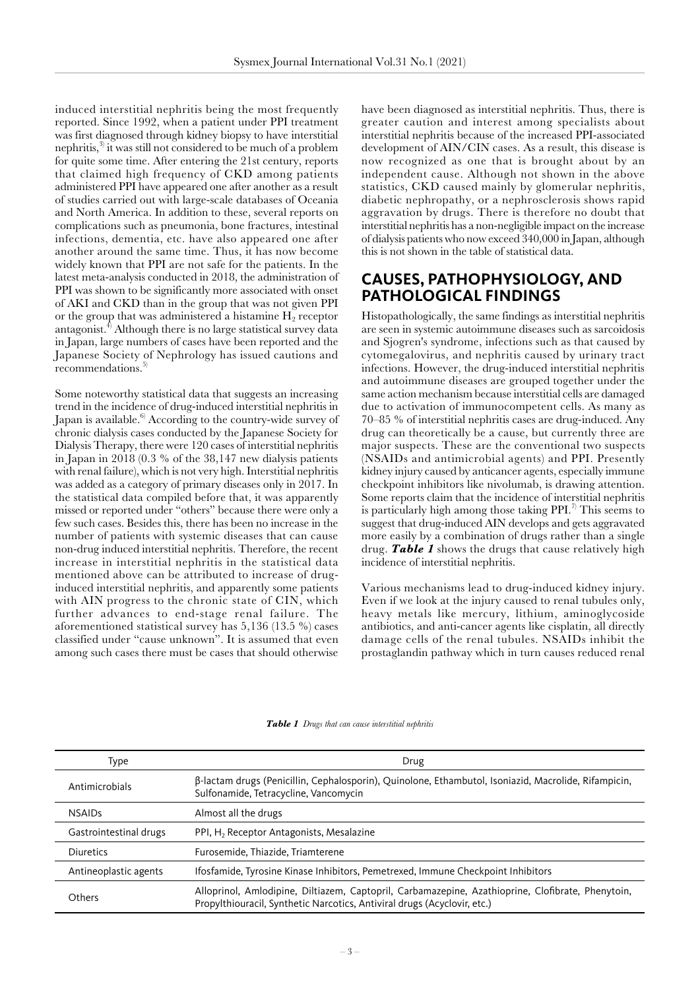induced interstitial nephritis being the most frequently reported. Since 1992, when a patient under PPI treatment was first diagnosed through kidney biopsy to have interstitial nephritis,<sup>3)</sup> it was still not considered to be much of a problem for quite some time. After entering the 21st century, reports that claimed high frequency of CKD among patients administered PPI have appeared one after another as a result of studies carried out with large-scale databases of Oceania and North America. In addition to these, several reports on complications such as pneumonia, bone fractures, intestinal infections, dementia, etc. have also appeared one after another around the same time. Thus, it has now become widely known that PPI are not safe for the patients. In the latest meta-analysis conducted in 2018, the administration of PPI was shown to be significantly more associated with onset of AKI and CKD than in the group that was not given PPI or the group that was administered a histamine  $H_2$  receptor antagonist.4) Although there is no large statistical survey data in Japan, large numbers of cases have been reported and the Japanese Society of Nephrology has issued cautions and recommendations.<sup>5)</sup>

Some noteworthy statistical data that suggests an increasing trend in the incidence of drug-induced interstitial nephritis in Japan is available.<sup>6)</sup> According to the country-wide survey of chronic dialysis cases conducted by the Japanese Society for Dialysis Therapy, there were 120 cases of interstitial nephritis in Japan in 2018 (0.3 % of the 38,147 new dialysis patients with renal failure), which is not very high. Interstitial nephritis was added as a category of primary diseases only in 2017. In the statistical data compiled before that, it was apparently missed or reported under "others" because there were only a few such cases. Besides this, there has been no increase in the number of patients with systemic diseases that can cause non-drug induced interstitial nephritis. Therefore, the recent increase in interstitial nephritis in the statistical data mentioned above can be attributed to increase of druginduced interstitial nephritis, and apparently some patients with AIN progress to the chronic state of CIN, which further advances to end-stage renal failure. The aforementioned statistical survey has 5,136 (13.5 %) cases classified under "cause unknown". It is assumed that even among such cases there must be cases that should otherwise

have been diagnosed as interstitial nephritis. Thus, there is greater caution and interest among specialists about interstitial nephritis because of the increased PPI-associated development of AIN/CIN cases. As a result, this disease is now recognized as one that is brought about by an independent cause. Although not shown in the above statistics, CKD caused mainly by glomerular nephritis, diabetic nephropathy, or a nephrosclerosis shows rapid aggravation by drugs. There is therefore no doubt that interstitial nephritis has a non-negligible impact on the increase of dialysis patients who now exceed 340,000 in Japan, although this is not shown in the table of statistical data.

# **CAUSES, PATHOPHYSIOLOGY, AND PATHOLOGICAL FINDINGS**

Histopathologically, the same findings as interstitial nephritis are seen in systemic autoimmune diseases such as sarcoidosis and Sjogren's syndrome, infections such as that caused by cytomegalovirus, and nephritis caused by urinary tract infections. However, the drug-induced interstitial nephritis and autoimmune diseases are grouped together under the same action mechanism because interstitial cells are damaged due to activation of immunocompetent cells. As many as 70–85 % of interstitial nephritis cases are drug-induced. Any drug can theoretically be a cause, but currently three are major suspects. These are the conventional two suspects (NSAIDs and antimicrobial agents) and PPI. Presently kidney injury caused by anticancer agents, especially immune checkpoint inhibitors like nivolumab, is drawing attention. Some reports claim that the incidence of interstitial nephritis is particularly high among those taking PPI.<sup>7)</sup> This seems to suggest that drug-induced AIN develops and gets aggravated more easily by a combination of drugs rather than a single drug. *Table 1* shows the drugs that cause relatively high incidence of interstitial nephritis.

Various mechanisms lead to drug-induced kidney injury. Even if we look at the injury caused to renal tubules only, heavy metals like mercury, lithium, aminoglycoside antibiotics, and anti-cancer agents like cisplatin, all directly damage cells of the renal tubules. NSAIDs inhibit the prostaglandin pathway which in turn causes reduced renal

| Type                   | Drug                                                                                                                                                                          |
|------------------------|-------------------------------------------------------------------------------------------------------------------------------------------------------------------------------|
| Antimicrobials         | β-lactam drugs (Penicillin, Cephalosporin), Quinolone, Ethambutol, Isoniazid, Macrolide, Rifampicin,<br>Sulfonamide, Tetracycline, Vancomycin                                 |
| <b>NSAIDs</b>          | Almost all the drugs                                                                                                                                                          |
| Gastrointestinal drugs | PPI, H <sub>2</sub> Receptor Antagonists, Mesalazine                                                                                                                          |
| <b>Diuretics</b>       | Furosemide, Thiazide, Triamterene                                                                                                                                             |
| Antineoplastic agents  | Ifosfamide, Tyrosine Kinase Inhibitors, Pemetrexed, Immune Checkpoint Inhibitors                                                                                              |
| Others                 | Alloprinol, Amlodipine, Diltiazem, Captopril, Carbamazepine, Azathioprine, Clofibrate, Phenytoin,<br>Propylthiouracil, Synthetic Narcotics, Antiviral drugs (Acyclovir, etc.) |

*Table 1 Drugs that can cause interstitial nephritis*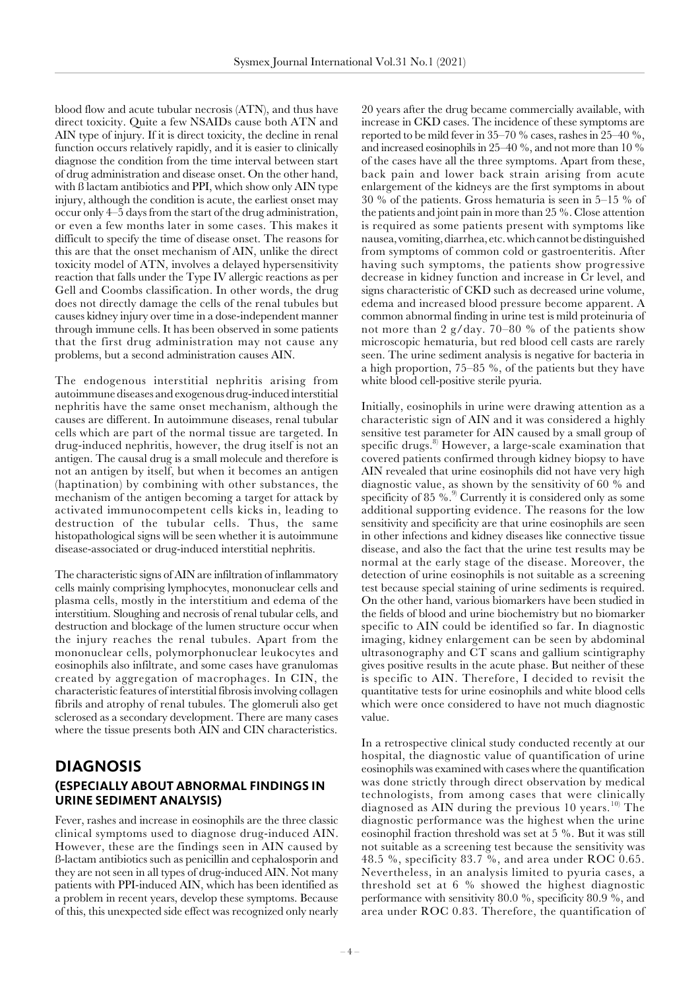blood flow and acute tubular necrosis (ATN), and thus have direct toxicity. Quite a few NSAIDs cause both ATN and AIN type of injury. If it is direct toxicity, the decline in renal function occurs relatively rapidly, and it is easier to clinically diagnose the condition from the time interval between start of drug administration and disease onset. On the other hand, with ß lactam antibiotics and PPI, which show only AIN type injury, although the condition is acute, the earliest onset may occur only 4–5 days from the start of the drug administration, or even a few months later in some cases. This makes it difficult to specify the time of disease onset. The reasons for this are that the onset mechanism of AIN, unlike the direct toxicity model of ATN, involves a delayed hypersensitivity reaction that falls under the Type IV allergic reactions as per Gell and Coombs classification. In other words, the drug does not directly damage the cells of the renal tubules but causes kidney injury over time in a dose-independent manner through immune cells. It has been observed in some patients that the first drug administration may not cause any problems, but a second administration causes AIN.

The endogenous interstitial nephritis arising from autoimmune diseases and exogenous drug-induced interstitial nephritis have the same onset mechanism, although the causes are different. In autoimmune diseases, renal tubular cells which are part of the normal tissue are targeted. In drug-induced nephritis, however, the drug itself is not an antigen. The causal drug is a small molecule and therefore is not an antigen by itself, but when it becomes an antigen (haptination) by combining with other substances, the mechanism of the antigen becoming a target for attack by activated immunocompetent cells kicks in, leading to destruction of the tubular cells. Thus, the same histopathological signs will be seen whether it is autoimmune disease-associated or drug-induced interstitial nephritis.

The characteristic signs of AIN are infiltration of inflammatory cells mainly comprising lymphocytes, mononuclear cells and plasma cells, mostly in the interstitium and edema of the interstitium. Sloughing and necrosis of renal tubular cells, and destruction and blockage of the lumen structure occur when the injury reaches the renal tubules. Apart from the mononuclear cells, polymorphonuclear leukocytes and eosinophils also infiltrate, and some cases have granulomas created by aggregation of macrophages. In CIN, the characteristic features of interstitial fibrosis involving collagen fibrils and atrophy of renal tubules. The glomeruli also get sclerosed as a secondary development. There are many cases where the tissue presents both AIN and CIN characteristics.

#### **DIAGNOSIS (ESPECIALLY ABOUT ABNORMAL FINDINGS IN URINE SEDIMENT ANALYSIS)**

Fever, rashes and increase in eosinophils are the three classic clinical symptoms used to diagnose drug-induced AIN. However, these are the findings seen in AIN caused by ß-lactam antibiotics such as penicillin and cephalosporin and they are not seen in all types of drug-induced AIN. Not many patients with PPI-induced AIN, which has been identified as a problem in recent years, develop these symptoms. Because of this, this unexpected side effect was recognized only nearly

20 years after the drug became commercially available, with increase in CKD cases. The incidence of these symptoms are reported to be mild fever in 35–70 % cases, rashes in 25–40 %, and increased eosinophils in 25–40 %, and not more than 10 % of the cases have all the three symptoms. Apart from these, back pain and lower back strain arising from acute enlargement of the kidneys are the first symptoms in about 30 % of the patients. Gross hematuria is seen in 5–15 % of the patients and joint pain in more than 25 %. Close attention is required as some patients present with symptoms like nausea, vomiting, diarrhea, etc. which cannot be distinguished from symptoms of common cold or gastroenteritis. After having such symptoms, the patients show progressive decrease in kidney function and increase in Cr level, and signs characteristic of CKD such as decreased urine volume, edema and increased blood pressure become apparent. A common abnormal finding in urine test is mild proteinuria of not more than 2 g/day. 70–80 % of the patients show microscopic hematuria, but red blood cell casts are rarely seen. The urine sediment analysis is negative for bacteria in a high proportion, 75–85 %, of the patients but they have white blood cell-positive sterile pyuria.

Initially, eosinophils in urine were drawing attention as a characteristic sign of AIN and it was considered a highly sensitive test parameter for AIN caused by a small group of specific drugs.<sup>8)</sup> However, a large-scale examination that covered patients confirmed through kidney biopsy to have AIN revealed that urine eosinophils did not have very high diagnostic value, as shown by the sensitivity of 60 % and specificity of 85 %.<sup>9)</sup> Currently it is considered only as some additional supporting evidence. The reasons for the low sensitivity and specificity are that urine eosinophils are seen in other infections and kidney diseases like connective tissue disease, and also the fact that the urine test results may be normal at the early stage of the disease. Moreover, the detection of urine eosinophils is not suitable as a screening test because special staining of urine sediments is required. On the other hand, various biomarkers have been studied in the fields of blood and urine biochemistry but no biomarker specific to AIN could be identified so far. In diagnostic imaging, kidney enlargement can be seen by abdominal ultrasonography and CT scans and gallium scintigraphy gives positive results in the acute phase. But neither of these is specific to AIN. Therefore, I decided to revisit the quantitative tests for urine eosinophils and white blood cells which were once considered to have not much diagnostic value.

In a retrospective clinical study conducted recently at our hospital, the diagnostic value of quantification of urine eosinophils was examined with cases where the quantification was done strictly through direct observation by medical technologists, from among cases that were clinically diagnosed as AIN during the previous 10 years.<sup>10)</sup> The diagnostic performance was the highest when the urine eosinophil fraction threshold was set at 5 %. But it was still not suitable as a screening test because the sensitivity was 48.5 %, specificity 83.7 %, and area under ROC 0.65. Nevertheless, in an analysis limited to pyuria cases, a threshold set at 6 % showed the highest diagnostic performance with sensitivity 80.0 %, specificity 80.9 %, and area under ROC 0.83. Therefore, the quantification of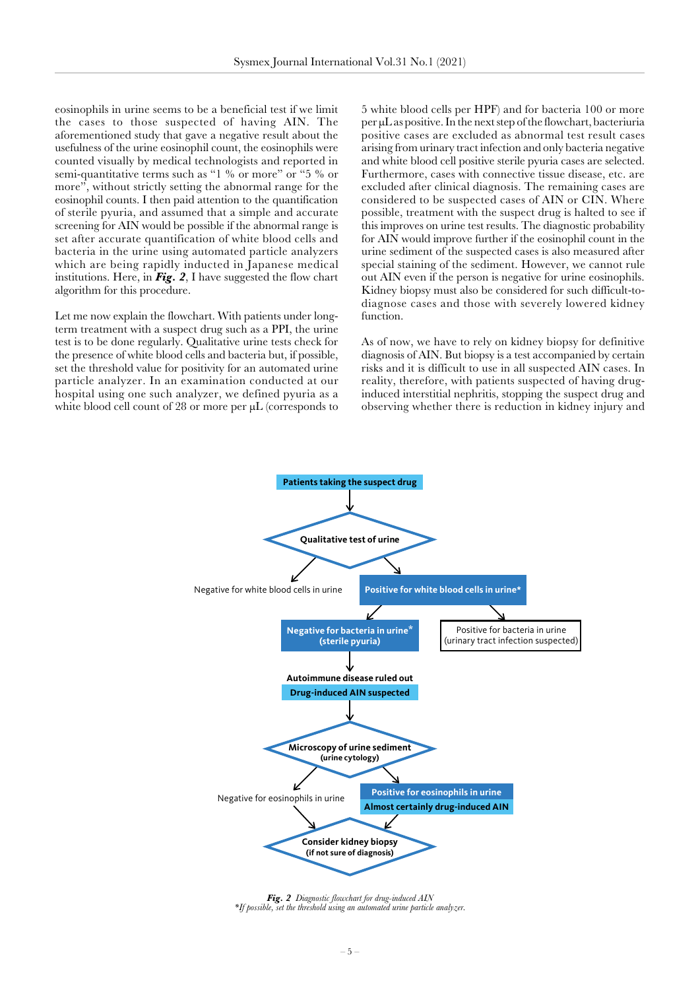eosinophils in urine seems to be a beneficial test if we limit the cases to those suspected of having AIN. The aforementioned study that gave a negative result about the usefulness of the urine eosinophil count, the eosinophils were counted visually by medical technologists and reported in semi-quantitative terms such as "1 % or more" or "5 % or more", without strictly setting the abnormal range for the eosinophil counts. I then paid attention to the quantification of sterile pyuria, and assumed that a simple and accurate screening for AIN would be possible if the abnormal range is set after accurate quantification of white blood cells and bacteria in the urine using automated particle analyzers which are being rapidly inducted in Japanese medical institutions. Here, in *Fig. 2*, I have suggested the flow chart algorithm for this procedure.

Let me now explain the flowchart. With patients under longterm treatment with a suspect drug such as a PPI, the urine test is to be done regularly. Qualitative urine tests check for the presence of white blood cells and bacteria but, if possible, set the threshold value for positivity for an automated urine particle analyzer. In an examination conducted at our hospital using one such analyzer, we defined pyuria as a white blood cell count of 28 or more per μL (corresponds to

5 white blood cells per HPF) and for bacteria 100 or more per µL as positive. In the next step of the flowchart, bacteriuria positive cases are excluded as abnormal test result cases arising from urinary tract infection and only bacteria negative and white blood cell positive sterile pyuria cases are selected. Furthermore, cases with connective tissue disease, etc. are excluded after clinical diagnosis. The remaining cases are considered to be suspected cases of AIN or CIN. Where possible, treatment with the suspect drug is halted to see if this improves on urine test results. The diagnostic probability for AIN would improve further if the eosinophil count in the urine sediment of the suspected cases is also measured after special staining of the sediment. However, we cannot rule out AIN even if the person is negative for urine eosinophils. Kidney biopsy must also be considered for such difficult-todiagnose cases and those with severely lowered kidney function.

As of now, we have to rely on kidney biopsy for definitive diagnosis of AIN. But biopsy is a test accompanied by certain risks and it is difficult to use in all suspected AIN cases. In reality, therefore, with patients suspected of having druginduced interstitial nephritis, stopping the suspect drug and observing whether there is reduction in kidney injury and



*Fig. 2 Diagnostic flowchart for drug-induced AIN \*If possible, set the threshold using an automated urine particle analyzer.*